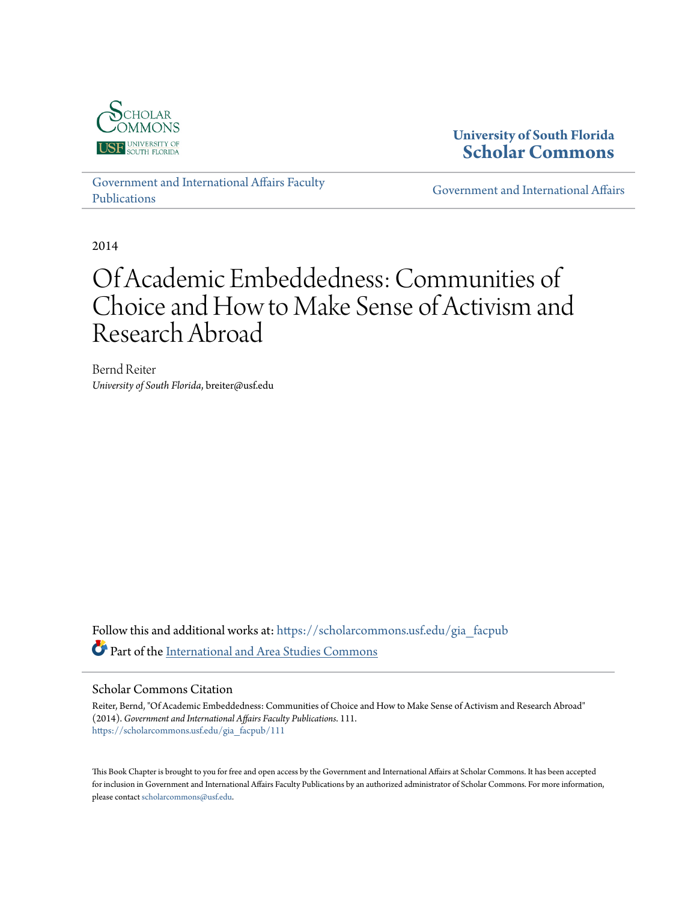

### **University of South Florida [Scholar Commons](https://scholarcommons.usf.edu?utm_source=scholarcommons.usf.edu%2Fgia_facpub%2F111&utm_medium=PDF&utm_campaign=PDFCoverPages)**

[Government and International Affairs Faculty](https://scholarcommons.usf.edu/gia_facpub?utm_source=scholarcommons.usf.edu%2Fgia_facpub%2F111&utm_medium=PDF&utm_campaign=PDFCoverPages) [Publications](https://scholarcommons.usf.edu/gia_facpub?utm_source=scholarcommons.usf.edu%2Fgia_facpub%2F111&utm_medium=PDF&utm_campaign=PDFCoverPages)

[Government and International Affairs](https://scholarcommons.usf.edu/gia?utm_source=scholarcommons.usf.edu%2Fgia_facpub%2F111&utm_medium=PDF&utm_campaign=PDFCoverPages)

2014

## Of Academic Embeddedness: Communities of Choice and How to Make Sense of Activism and Research Abroad

Bernd Reiter *University of South Florida*, breiter@usf.edu

Follow this and additional works at: [https://scholarcommons.usf.edu/gia\\_facpub](https://scholarcommons.usf.edu/gia_facpub?utm_source=scholarcommons.usf.edu%2Fgia_facpub%2F111&utm_medium=PDF&utm_campaign=PDFCoverPages) Part of the [International and Area Studies Commons](http://network.bepress.com/hgg/discipline/360?utm_source=scholarcommons.usf.edu%2Fgia_facpub%2F111&utm_medium=PDF&utm_campaign=PDFCoverPages)

#### Scholar Commons Citation

Reiter, Bernd, "Of Academic Embeddedness: Communities of Choice and How to Make Sense of Activism and Research Abroad" (2014). *Government and International Affairs Faculty Publications*. 111. [https://scholarcommons.usf.edu/gia\\_facpub/111](https://scholarcommons.usf.edu/gia_facpub/111?utm_source=scholarcommons.usf.edu%2Fgia_facpub%2F111&utm_medium=PDF&utm_campaign=PDFCoverPages)

This Book Chapter is brought to you for free and open access by the Government and International Affairs at Scholar Commons. It has been accepted for inclusion in Government and International Affairs Faculty Publications by an authorized administrator of Scholar Commons. For more information, please contact [scholarcommons@usf.edu.](mailto:scholarcommons@usf.edu)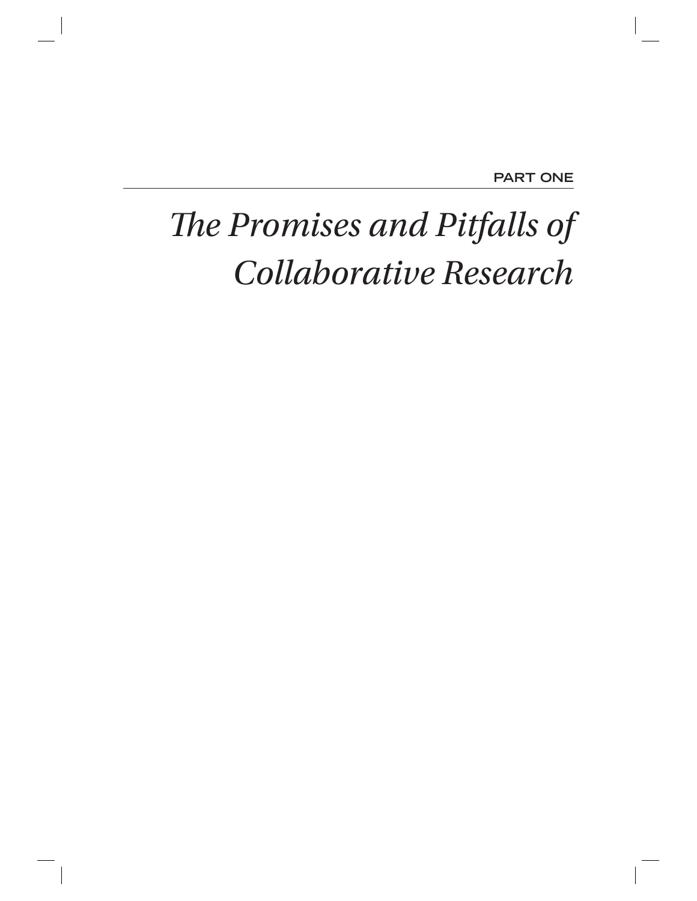**PART ONE**

# **The Promises and Pitfalls of** *Collaborative Research*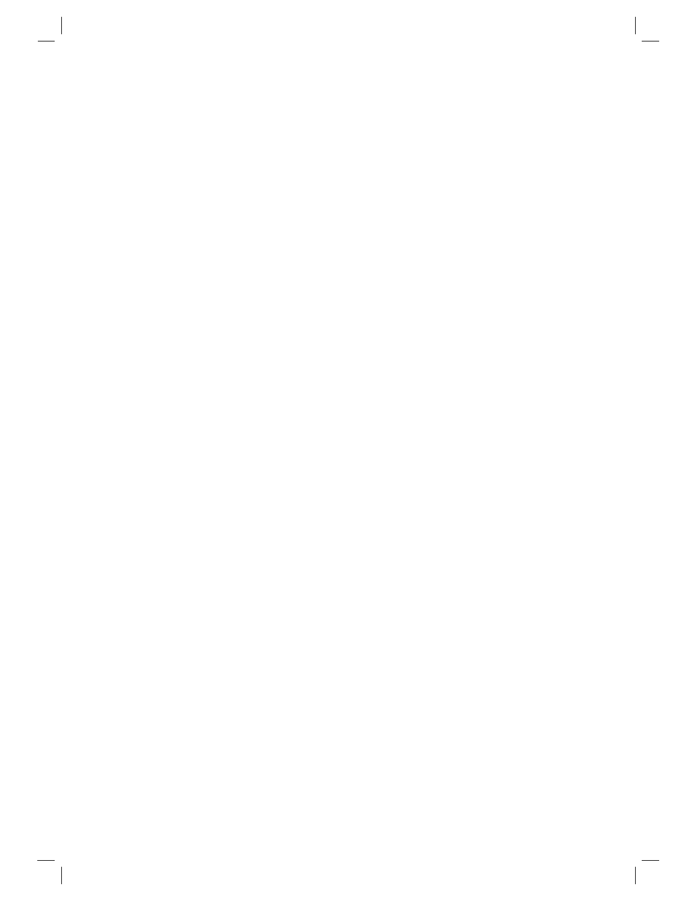$\sim$   $\,$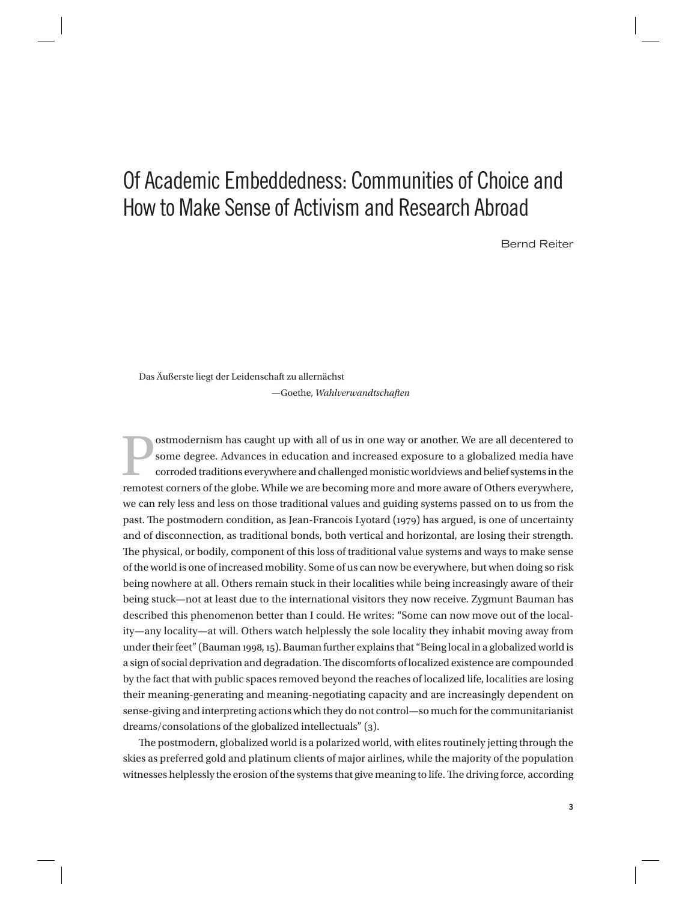## Of Academic Embeddedness: Communities of Choice and How to Make Sense of Activism and Research Abroad

Bernd Reiter

Das Äußerste liegt der Leidenschaft zu allernächst —Goethe, *Wahlverwandtschaften*

ostmodernism has caught up with all of us in one way or another. We are all decentered to some degree. Advances in education and increased exposure to a globalized media have corroded traditions everywhere and challenged monistic worldviews and belief systems in the remotest corners of the globe. While we are becoming more and more aware of Others everywhere, we can rely less and less on those traditional values and guiding systems passed on to us from the past. The postmodern condition, as Jean-Francois Lyotard (1979) has argued, is one of uncertainty and of disconnection, as traditional bonds, both vertical and horizontal, are losing their strength. The physical, or bodily, component of this loss of traditional value systems and ways to make sense of the world is one of increased mobility. Some of us can now be everywhere, but when doing so risk being nowhere at all. Others remain stuck in their localities while being increasingly aware of their being stuck—not at least due to the international visitors they now receive. Zygmunt Bauman has described this phenomenon better than I could. He writes: "Some can now move out of the locality—any locality—at will. Others watch helplessly the sole locality they inhabit moving away from under their feet" (Bauman 1998, 15). Bauman further explains that "Being local in a globalized world is a sign of social deprivation and degradation. The discomforts of localized existence are compounded by the fact that with public spaces removed beyond the reaches of localized life, localities are losing their meaning-generating and meaning-negotiating capacity and are increasingly dependent on sense-giving and interpreting actions which they do not control—so much for the communitarianist dreams/consolations of the globalized intellectuals" (3).

The postmodern, globalized world is a polarized world, with elites routinely jetting through the skies as preferred gold and platinum clients of major airlines, while the majority of the population witnesses helplessly the erosion of the systems that give meaning to life. The driving force, according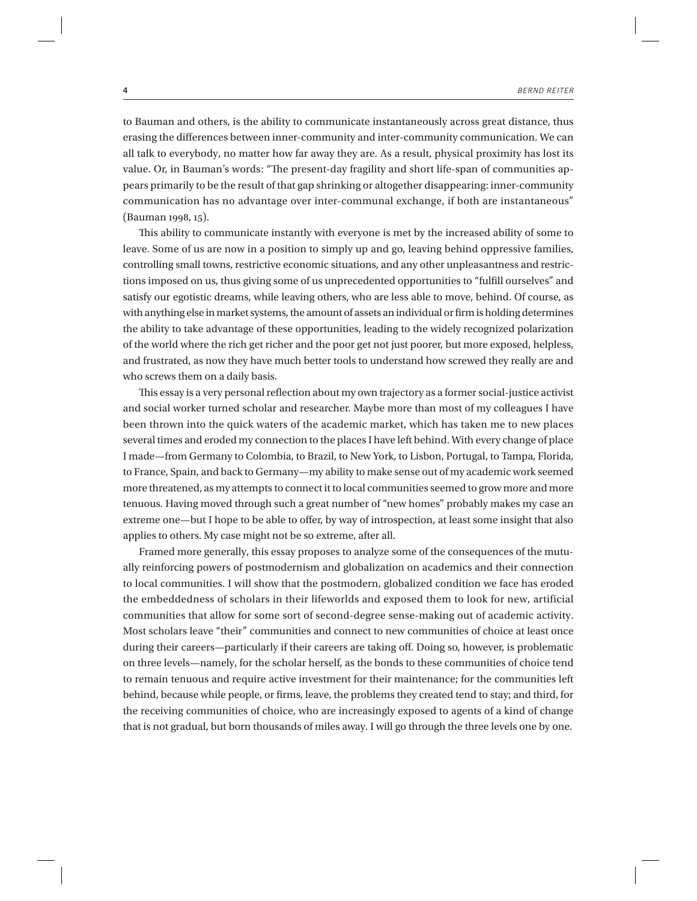to Bauman and others, is the ability to communicate instantaneously across great distance, thus erasing the differences between inner-community and inter-community communication. We can all talk to everybody, no matter how far away they are. As a result, physical proximity has lost its value. Or, in Bauman's words: "The present-day fragility and short life-span of communities appears primarily to be the result of that gap shrinking or altogether disappearing: inner-community communication has no advantage over inter-communal exchange, if both are instantaneous" (Bauman 1998, 15).

This ability to communicate instantly with everyone is met by the increased ability of some to leave. Some of us are now in a position to simply up and go, leaving behind oppressive families, controlling small towns, restrictive economic situations, and any other unpleasantness and restrictions imposed on us, thus giving some of us unprecedented opportunities to "fulfill ourselves" and satisfy our egotistic dreams, while leaving others, who are less able to move, behind. Of course, as with anything else in market systems, the amount of assets an individual or firm is holding determines the ability to take advantage of these opportunities, leading to the widely recognized polarization of the world where the rich get richer and the poor get not just poorer, but more exposed, helpless, and frustrated, as now they have much better tools to understand how screwed they really are and who screws them on a daily basis.

This essay is a very personal reflection about my own trajectory as a former social-justice activist and social worker turned scholar and researcher. Maybe more than most of my colleagues I have been thrown into the quick waters of the academic market, which has taken me to new places several times and eroded my connection to the places I have left behind. With every change of place I made—from Germany to Colombia, to Brazil, to New York, to Lisbon, Portugal, to Tampa, Florida, to France, Spain, and back to Germany—my ability to make sense out of my academic work seemed more threatened, as my attempts to connect it to local communities seemed to grow more and more tenuous. Having moved through such a great number of "new homes" probably makes my case an extreme one—but I hope to be able to offer, by way of introspection, at least some insight that also applies to others. My case might not be so extreme, after all.

Framed more generally, this essay proposes to analyze some of the consequences of the mutually reinforcing powers of postmodernism and globalization on academics and their connection to local communities. I will show that the postmodern, globalized condition we face has eroded the embeddedness of scholars in their lifeworlds and exposed them to look for new, artificial communities that allow for some sort of second-degree sense-making out of academic activity. Most scholars leave "their" communities and connect to new communities of choice at least once during their careers—particularly if their careers are taking off. Doing so, however, is problematic on three levels—namely, for the scholar herself, as the bonds to these communities of choice tend to remain tenuous and require active investment for their maintenance; for the communities left behind, because while people, or firms, leave, the problems they created tend to stay; and third, for the receiving communities of choice, who are increasingly exposed to agents of a kind of change that is not gradual, but born thousands of miles away. I will go through the three levels one by one.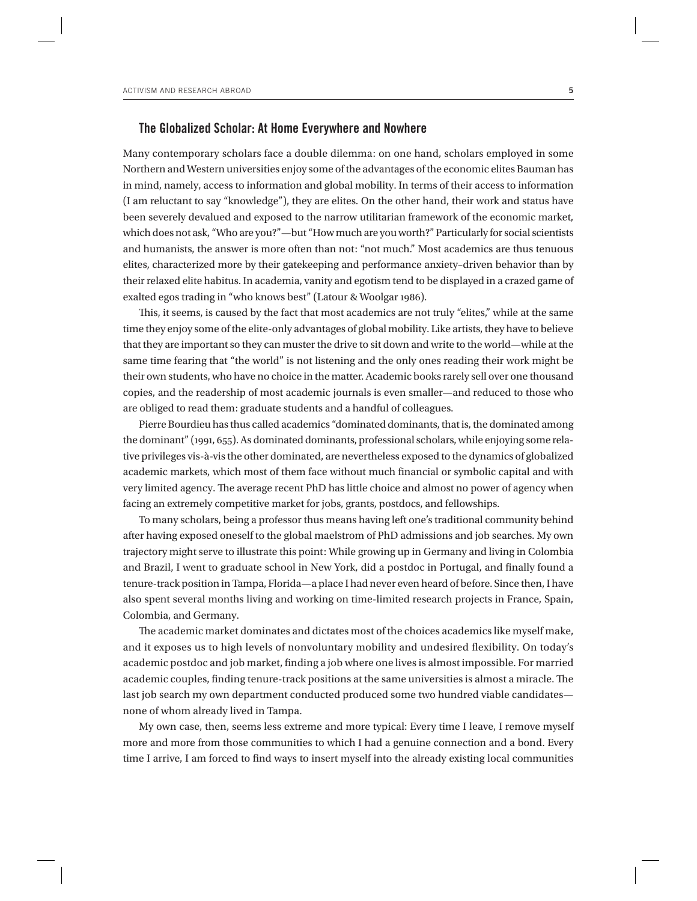#### The Globalized Scholar: At Home Everywhere and Nowhere

Many contemporary scholars face a double dilemma: on one hand, scholars employed in some Northern and Western universities enjoy some of the advantages of the economic elites Bauman has in mind, namely, access to information and global mobility. In terms of their access to information (I am reluctant to say "knowledge"), they are elites. On the other hand, their work and status have been severely devalued and exposed to the narrow utilitarian framework of the economic market, which does not ask, "Who are you?"—but "How much are you worth?" Particularly for social scientists and humanists, the answer is more often than not: "not much." Most academics are thus tenuous elites, characterized more by their gatekeeping and performance anxiety–driven behavior than by their relaxed elite habitus. In academia, vanity and egotism tend to be displayed in a crazed game of exalted egos trading in "who knows best" (Latour & Woolgar 1986).

This, it seems, is caused by the fact that most academics are not truly "elites," while at the same time they enjoy some of the elite-only advantages of global mobility. Like artists, they have to believe that they are important so they can muster the drive to sit down and write to the world—while at the same time fearing that "the world" is not listening and the only ones reading their work might be their own students, who have no choice in the matter. Academic books rarely sell over one thousand copies, and the readership of most academic journals is even smaller—and reduced to those who are obliged to read them: graduate students and a handful of colleagues.

Pierre Bourdieu has thus called academics "dominated dominants, that is, the dominated among the dominant" (1991, 655). As dominated dominants, professional scholars, while enjoying some relative privileges vis-à-vis the other dominated, are nevertheless exposed to the dynamics of globalized academic markets, which most of them face without much financial or symbolic capital and with very limited agency. The average recent PhD has little choice and almost no power of agency when facing an extremely competitive market for jobs, grants, postdocs, and fellowships.

To many scholars, being a professor thus means having left one's traditional community behind after having exposed oneself to the global maelstrom of PhD admissions and job searches. My own trajectory might serve to illustrate this point: While growing up in Germany and living in Colombia and Brazil, I went to graduate school in New York, did a postdoc in Portugal, and finally found a tenure-track position in Tampa, Florida—a place I had never even heard of before. Since then, I have also spent several months living and working on time-limited research projects in France, Spain, Colombia, and Germany.

The academic market dominates and dictates most of the choices academics like myself make, and it exposes us to high levels of nonvoluntary mobility and undesired flexibility. On today's academic postdoc and job market, finding a job where one lives is almost impossible. For married academic couples, finding tenure-track positions at the same universities is almost a miracle. The last job search my own department conducted produced some two hundred viable candidates none of whom already lived in Tampa.

My own case, then, seems less extreme and more typical: Every time I leave, I remove myself more and more from those communities to which I had a genuine connection and a bond. Every time I arrive, I am forced to find ways to insert myself into the already existing local communities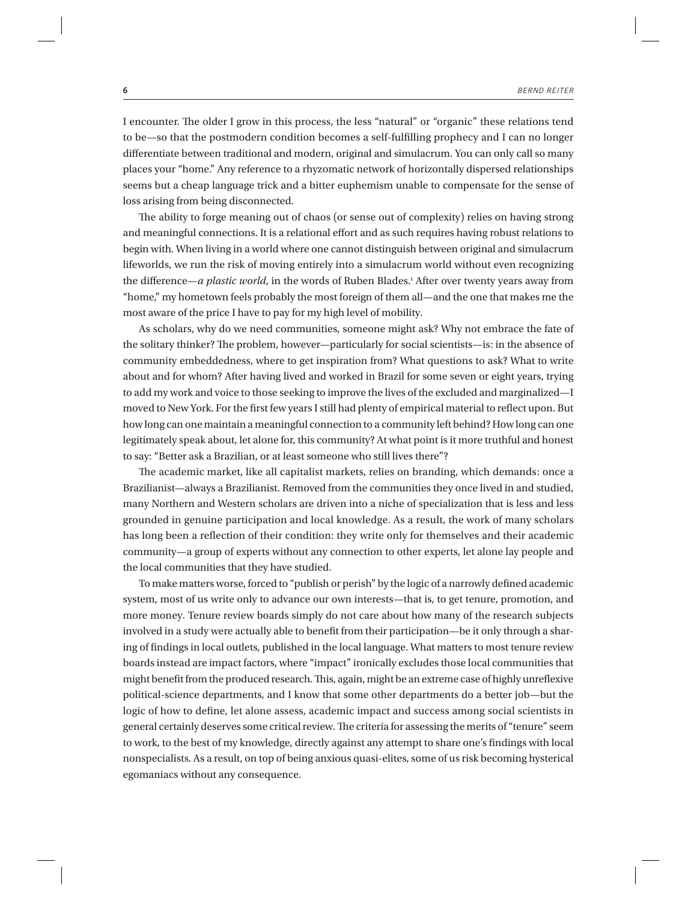I encounter. The older I grow in this process, the less "natural" or "organic" these relations tend to be—so that the postmodern condition becomes a self-fulfilling prophecy and I can no longer differentiate between traditional and modern, original and simulacrum. You can only call so many places your "home." Any reference to a rhyzomatic network of horizontally dispersed relationships seems but a cheap language trick and a bitter euphemism unable to compensate for the sense of loss arising from being disconnected.

The ability to forge meaning out of chaos (or sense out of complexity) relies on having strong and meaningful connections. It is a relational effort and as such requires having robust relations to begin with. When living in a world where one cannot distinguish between original and simulacrum lifeworlds, we run the risk of moving entirely into a simulacrum world without even recognizing the difference—*a plastic world*, in the words of Ruben Blades.<sup>1</sup> After over twenty years away from "home," my hometown feels probably the most foreign of them all—and the one that makes me the most aware of the price I have to pay for my high level of mobility.

As scholars, why do we need communities, someone might ask? Why not embrace the fate of the solitary thinker? The problem, however—particularly for social scientists—is: in the absence of community embeddedness, where to get inspiration from? What questions to ask? What to write about and for whom? After having lived and worked in Brazil for some seven or eight years, trying to add my work and voice to those seeking to improve the lives of the excluded and marginalized—I moved to New York. For the first few years I still had plenty of empirical material to reflect upon. But how long can one maintain a meaningful connection to a community left behind? How long can one legitimately speak about, let alone for, this community? At what point is it more truthful and honest to say: "Better ask a Brazilian, or at least someone who still lives there"?

The academic market, like all capitalist markets, relies on branding, which demands: once a Brazilianist—always a Brazilianist. Removed from the communities they once lived in and studied, many Northern and Western scholars are driven into a niche of specialization that is less and less grounded in genuine participation and local knowledge. As a result, the work of many scholars has long been a reflection of their condition: they write only for themselves and their academic community—a group of experts without any connection to other experts, let alone lay people and the local communities that they have studied.

To make matters worse, forced to "publish or perish" by the logic of a narrowly defined academic system, most of us write only to advance our own interests—that is, to get tenure, promotion, and more money. Tenure review boards simply do not care about how many of the research subjects involved in a study were actually able to benefit from their participation—be it only through a sharing of findings in local outlets, published in the local language. What matters to most tenure review boards instead are impact factors, where "impact" ironically excludes those local communities that might benefit from the produced research. This, again, might be an extreme case of highly unreflexive political-science departments, and I know that some other departments do a better job—but the logic of how to define, let alone assess, academic impact and success among social scientists in general certainly deserves some critical review. The criteria for assessing the merits of "tenure" seem to work, to the best of my knowledge, directly against any attempt to share one's findings with local nonspecialists. As a result, on top of being anxious quasi-elites, some of us risk becoming hysterical egomaniacs without any consequence.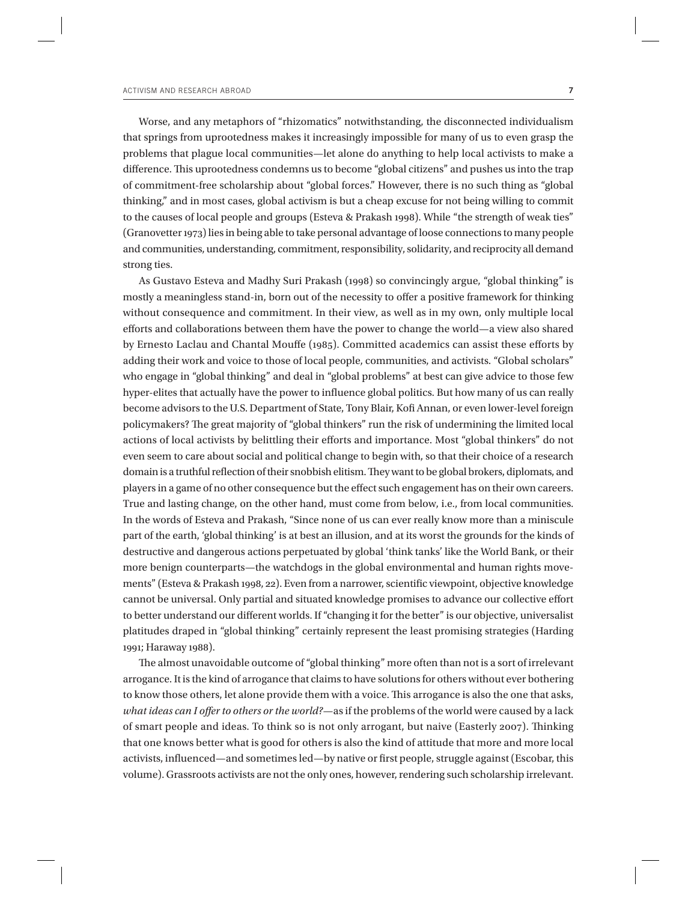Worse, and any metaphors of "rhizomatics" notwithstanding, the disconnected individualism that springs from uprootedness makes it increasingly impossible for many of us to even grasp the problems that plague local communities—let alone do anything to help local activists to make a difference. This uprootedness condemns us to become "global citizens" and pushes us into the trap of commitment-free scholarship about "global forces." However, there is no such thing as "global thinking," and in most cases, global activism is but a cheap excuse for not being willing to commit to the causes of local people and groups (Esteva & Prakash 1998). While "the strength of weak ties" (Granovetter 1973) lies in being able to take personal advantage of loose connections to many people and communities, understanding, commitment, responsibility, solidarity, and reciprocity all demand strong ties.

As Gustavo Esteva and Madhy Suri Prakash (1998) so convincingly argue, "global thinking" is mostly a meaningless stand-in, born out of the necessity to offer a positive framework for thinking without consequence and commitment. In their view, as well as in my own, only multiple local efforts and collaborations between them have the power to change the world—a view also shared by Ernesto Laclau and Chantal Mouffe (1985). Committed academics can assist these efforts by adding their work and voice to those of local people, communities, and activists. "Global scholars" who engage in "global thinking" and deal in "global problems" at best can give advice to those few hyper-elites that actually have the power to influence global politics. But how many of us can really become advisors to the U.S. Department of State, Tony Blair, Kofi Annan, or even lower-level foreign policymakers? The great majority of "global thinkers" run the risk of undermining the limited local actions of local activists by belittling their efforts and importance. Most "global thinkers" do not even seem to care about social and political change to begin with, so that their choice of a research domain is a truthful reflection of their snobbish elitism. They want to be global brokers, diplomats, and players in a game of no other consequence but the effect such engagement has on their own careers. True and lasting change, on the other hand, must come from below, i.e., from local communities. In the words of Esteva and Prakash, "Since none of us can ever really know more than a miniscule part of the earth, 'global thinking' is at best an illusion, and at its worst the grounds for the kinds of destructive and dangerous actions perpetuated by global 'think tanks' like the World Bank, or their more benign counterparts—the watchdogs in the global environmental and human rights movements" (Esteva & Prakash 1998, 22). Even from a narrower, scientific viewpoint, objective knowledge cannot be universal. Only partial and situated knowledge promises to advance our collective effort to better understand our different worlds. If "changing it for the better" is our objective, universalist platitudes draped in "global thinking" certainly represent the least promising strategies (Harding 1991; Haraway 1988).

The almost unavoidable outcome of "global thinking" more often than not is a sort of irrelevant arrogance. It is the kind of arrogance that claims to have solutions for others without ever bothering to know those others, let alone provide them with a voice. This arrogance is also the one that asks, *what ideas can I offer to others or the world?*—as if the problems of the world were caused by a lack of smart people and ideas. To think so is not only arrogant, but naive (Easterly 2007). Thinking that one knows better what is good for others is also the kind of attitude that more and more local activists, influenced—and sometimes led—by native or first people, struggle against (Escobar, this volume). Grassroots activists are not the only ones, however, rendering such scholarship irrelevant.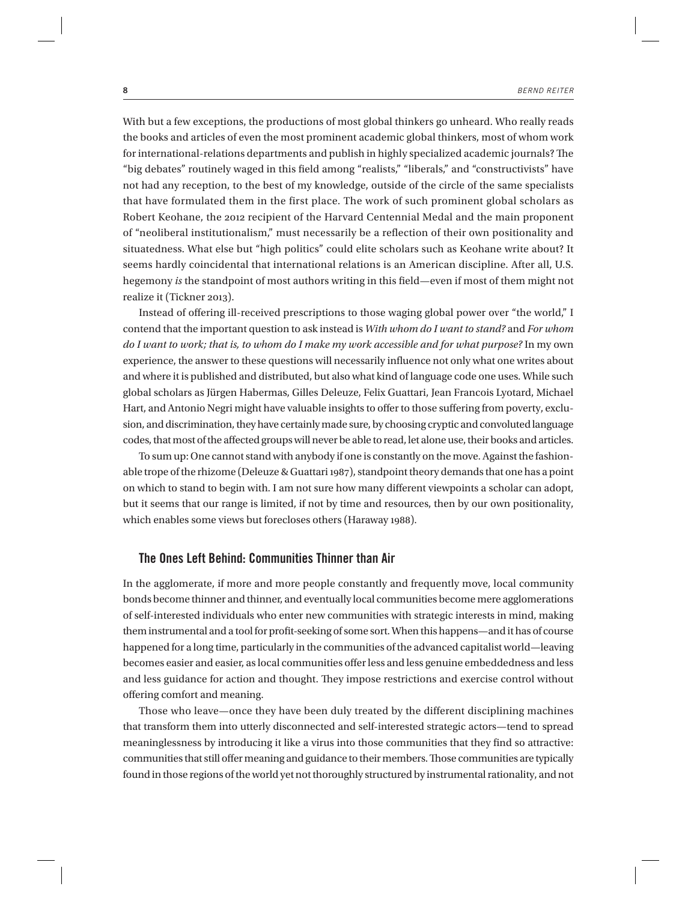With but a few exceptions, the productions of most global thinkers go unheard. Who really reads the books and articles of even the most prominent academic global thinkers, most of whom work for international-relations departments and publish in highly specialized academic journals? The "big debates" routinely waged in this field among "realists," "liberals," and "constructivists" have not had any reception, to the best of my knowledge, outside of the circle of the same specialists that have formulated them in the first place. The work of such prominent global scholars as Robert Keohane, the 2012 recipient of the Harvard Centennial Medal and the main proponent of "neoliberal institutionalism," must necessarily be a reflection of their own positionality and situatedness. What else but "high politics" could elite scholars such as Keohane write about? It seems hardly coincidental that international relations is an American discipline. After all, U.S. hegemony *is* the standpoint of most authors writing in this field—even if most of them might not realize it (Tickner 2013).

Instead of offering ill-received prescriptions to those waging global power over "the world," I contend that the important question to ask instead is *With whom do I want to stand?* and *For whom do I want to work; that is, to whom do I make my work accessible and for what purpose?* In my own experience, the answer to these questions will necessarily influence not only what one writes about and where it is published and distributed, but also what kind of language code one uses. While such global scholars as Jürgen Habermas, Gilles Deleuze, Felix Guattari, Jean Francois Lyotard, Michael Hart, and Antonio Negri might have valuable insights to offer to those suffering from poverty, exclusion, and discrimination, they have certainly made sure, by choosing cryptic and convoluted language codes, that most of the affected groups will never be able to read, let alone use, their books and articles.

To sum up: One cannot stand with anybody if one is constantly on the move. Against the fashionable trope of the rhizome (Deleuze & Guattari 1987), standpoint theory demands that one has a point on which to stand to begin with. I am not sure how many different viewpoints a scholar can adopt, but it seems that our range is limited, if not by time and resources, then by our own positionality, which enables some views but forecloses others (Haraway 1988).

#### The Ones Left Behind: Communities Thinner than Air

In the agglomerate, if more and more people constantly and frequently move, local community bonds become thinner and thinner, and eventually local communities become mere agglomerations of self-interested individuals who enter new communities with strategic interests in mind, making them instrumental and a tool for profit-seeking of some sort. When this happens—and it has of course happened for a long time, particularly in the communities of the advanced capitalist world—leaving becomes easier and easier, as local communities offer less and less genuine embeddedness and less and less guidance for action and thought. They impose restrictions and exercise control without offering comfort and meaning.

Those who leave—once they have been duly treated by the different disciplining machines that transform them into utterly disconnected and self-interested strategic actors—tend to spread meaninglessness by introducing it like a virus into those communities that they find so attractive: communities that still offer meaning and guidance to their members. Those communities are typically found in those regions of the world yet not thoroughly structured by instrumental rationality, and not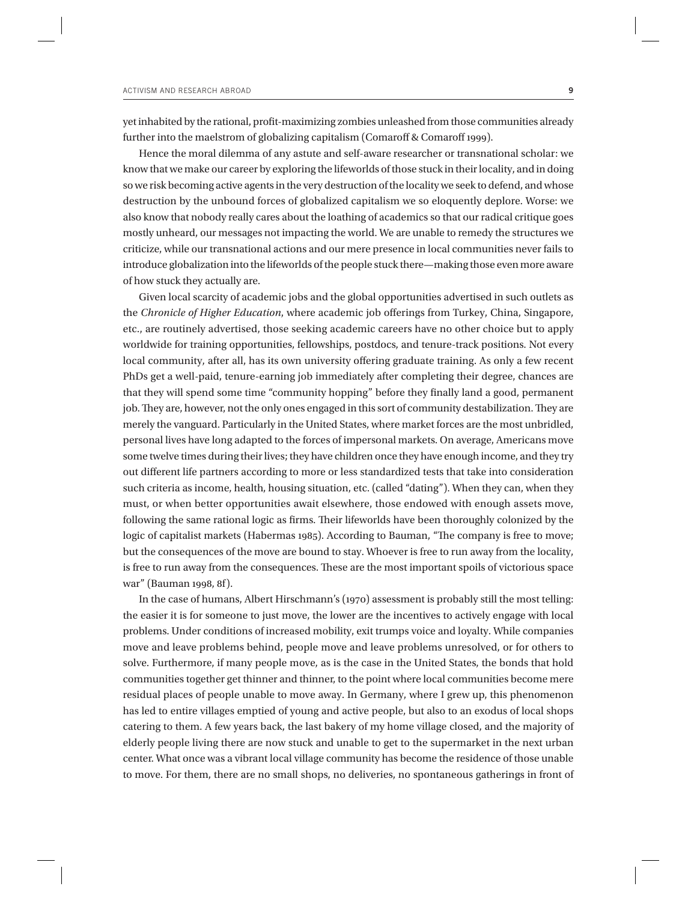yet inhabited by the rational, profit-maximizing zombies unleashed from those communities already further into the maelstrom of globalizing capitalism (Comaroff & Comaroff 1999).

Hence the moral dilemma of any astute and self-aware researcher or transnational scholar: we know that we make our career by exploring the lifeworlds of those stuck in their locality, and in doing so we risk becoming active agents in the very destruction of the locality we seek to defend, and whose destruction by the unbound forces of globalized capitalism we so eloquently deplore. Worse: we also know that nobody really cares about the loathing of academics so that our radical critique goes mostly unheard, our messages not impacting the world. We are unable to remedy the structures we criticize, while our transnational actions and our mere presence in local communities never fails to introduce globalization into the lifeworlds of the people stuck there—making those even more aware of how stuck they actually are.

Given local scarcity of academic jobs and the global opportunities advertised in such outlets as the *Chronicle of Higher Education*, where academic job offerings from Turkey, China, Singapore, etc., are routinely advertised, those seeking academic careers have no other choice but to apply worldwide for training opportunities, fellowships, postdocs, and tenure-track positions. Not every local community, after all, has its own university offering graduate training. As only a few recent PhDs get a well-paid, tenure-earning job immediately after completing their degree, chances are that they will spend some time "community hopping" before they finally land a good, permanent job. They are, however, not the only ones engaged in this sort of community destabilization. They are merely the vanguard. Particularly in the United States, where market forces are the most unbridled, personal lives have long adapted to the forces of impersonal markets. On average, Americans move some twelve times during their lives; they have children once they have enough income, and they try out different life partners according to more or less standardized tests that take into consideration such criteria as income, health, housing situation, etc. (called "dating"). When they can, when they must, or when better opportunities await elsewhere, those endowed with enough assets move, following the same rational logic as firms. Their lifeworlds have been thoroughly colonized by the logic of capitalist markets (Habermas 1985). According to Bauman, "The company is free to move; but the consequences of the move are bound to stay. Whoever is free to run away from the locality, is free to run away from the consequences. These are the most important spoils of victorious space war" (Bauman 1998, 8f).

In the case of humans, Albert Hirschmann's (1970) assessment is probably still the most telling: the easier it is for someone to just move, the lower are the incentives to actively engage with local problems. Under conditions of increased mobility, exit trumps voice and loyalty. While companies move and leave problems behind, people move and leave problems unresolved, or for others to solve. Furthermore, if many people move, as is the case in the United States, the bonds that hold communities together get thinner and thinner, to the point where local communities become mere residual places of people unable to move away. In Germany, where I grew up, this phenomenon has led to entire villages emptied of young and active people, but also to an exodus of local shops catering to them. A few years back, the last bakery of my home village closed, and the majority of elderly people living there are now stuck and unable to get to the supermarket in the next urban center. What once was a vibrant local village community has become the residence of those unable to move. For them, there are no small shops, no deliveries, no spontaneous gatherings in front of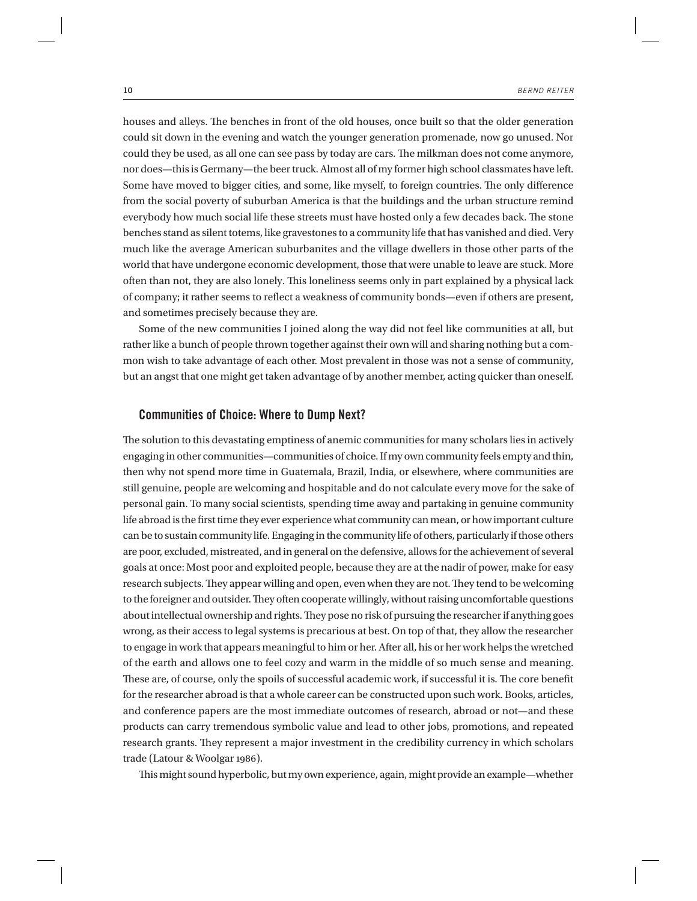houses and alleys. The benches in front of the old houses, once built so that the older generation could sit down in the evening and watch the younger generation promenade, now go unused. Nor could they be used, as all one can see pass by today are cars. The milkman does not come anymore, nor does—this is Germany—the beer truck. Almost all of my former high school classmates have left. Some have moved to bigger cities, and some, like myself, to foreign countries. The only difference from the social poverty of suburban America is that the buildings and the urban structure remind everybody how much social life these streets must have hosted only a few decades back. The stone benches stand as silent totems, like gravestones to a community life that has vanished and died. Very much like the average American suburbanites and the village dwellers in those other parts of the world that have undergone economic development, those that were unable to leave are stuck. More often than not, they are also lonely. This loneliness seems only in part explained by a physical lack of company; it rather seems to reflect a weakness of community bonds—even if others are present, and sometimes precisely because they are.

Some of the new communities I joined along the way did not feel like communities at all, but rather like a bunch of people thrown together against their own will and sharing nothing but a common wish to take advantage of each other. Most prevalent in those was not a sense of community, but an angst that one might get taken advantage of by another member, acting quicker than oneself.

#### Communities of Choice: Where to Dump Next?

The solution to this devastating emptiness of anemic communities for many scholars lies in actively engaging in other communities—communities of choice. If my own community feels empty and thin, then why not spend more time in Guatemala, Brazil, India, or elsewhere, where communities are still genuine, people are welcoming and hospitable and do not calculate every move for the sake of personal gain. To many social scientists, spending time away and partaking in genuine community life abroad is the first time they ever experience what community can mean, or how important culture can be to sustain community life. Engaging in the community life of others, particularly if those others are poor, excluded, mistreated, and in general on the defensive, allows for the achievement of several goals at once: Most poor and exploited people, because they are at the nadir of power, make for easy research subjects. They appear willing and open, even when they are not. They tend to be welcoming to the foreigner and outsider. They often cooperate willingly, without raising uncomfortable questions about intellectual ownership and rights. They pose no risk of pursuing the researcher if anything goes wrong, as their access to legal systems is precarious at best. On top of that, they allow the researcher to engage in work that appears meaningful to him or her. After all, his or her work helps the wretched of the earth and allows one to feel cozy and warm in the middle of so much sense and meaning. These are, of course, only the spoils of successful academic work, if successful it is. The core benefit for the researcher abroad is that a whole career can be constructed upon such work. Books, articles, and conference papers are the most immediate outcomes of research, abroad or not—and these products can carry tremendous symbolic value and lead to other jobs, promotions, and repeated research grants. They represent a major investment in the credibility currency in which scholars trade (Latour & Woolgar 1986).

This might sound hyperbolic, but my own experience, again, might provide an example—whether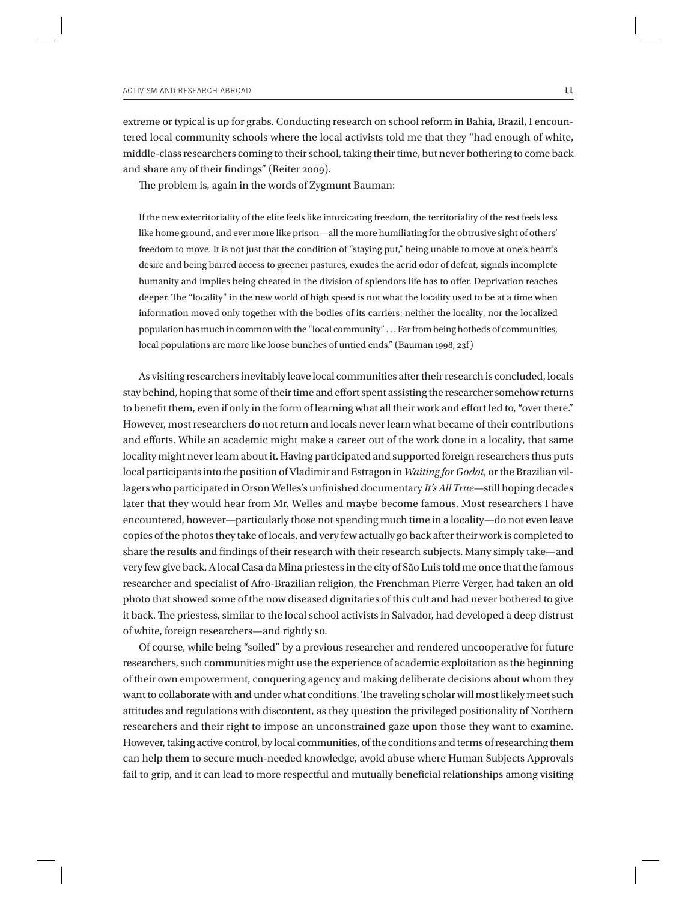extreme or typical is up for grabs. Conducting research on school reform in Bahia, Brazil, I encountered local community schools where the local activists told me that they "had enough of white, middle-class researchers coming to their school, taking their time, but never bothering to come back and share any of their findings" (Reiter 2009).

The problem is, again in the words of Zygmunt Bauman:

If the new exterritoriality of the elite feels like intoxicating freedom, the territoriality of the rest feels less like home ground, and ever more like prison—all the more humiliating for the obtrusive sight of others' freedom to move. It is not just that the condition of "staying put," being unable to move at one's heart's desire and being barred access to greener pastures, exudes the acrid odor of defeat, signals incomplete humanity and implies being cheated in the division of splendors life has to offer. Deprivation reaches deeper. The "locality" in the new world of high speed is not what the locality used to be at a time when information moved only together with the bodies of its carriers; neither the locality, nor the localized population has much in common with the "local community" . . . Far from being hotbeds of communities, local populations are more like loose bunches of untied ends." (Bauman 1998, 23f)

As visiting researchers inevitably leave local communities after their research is concluded, locals stay behind, hoping that some of their time and effort spent assisting the researcher somehow returns to benefit them, even if only in the form of learning what all their work and effort led to, "over there." However, most researchers do not return and locals never learn what became of their contributions and efforts. While an academic might make a career out of the work done in a locality, that same locality might never learn about it. Having participated and supported foreign researchers thus puts local participants into the position of Vladimir and Estragon in *Waiting for Godot*, or the Brazilian villagers who participated in Orson Welles's unfinished documentary *It's All True*—still hoping decades later that they would hear from Mr. Welles and maybe become famous. Most researchers I have encountered, however—particularly those not spending much time in a locality—do not even leave copies of the photos they take of locals, and very few actually go back after their work is completed to share the results and findings of their research with their research subjects. Many simply take—and very few give back. A local Casa da Mina priestess in the city of São Luis told me once that the famous researcher and specialist of Afro-Brazilian religion, the Frenchman Pierre Verger, had taken an old photo that showed some of the now diseased dignitaries of this cult and had never bothered to give it back. The priestess, similar to the local school activists in Salvador, had developed a deep distrust of white, foreign researchers—and rightly so.

Of course, while being "soiled" by a previous researcher and rendered uncooperative for future researchers, such communities might use the experience of academic exploitation as the beginning of their own empowerment, conquering agency and making deliberate decisions about whom they want to collaborate with and under what conditions. The traveling scholar will most likely meet such attitudes and regulations with discontent, as they question the privileged positionality of Northern researchers and their right to impose an unconstrained gaze upon those they want to examine. However, taking active control, by local communities, of the conditions and terms of researching them can help them to secure much-needed knowledge, avoid abuse where Human Subjects Approvals fail to grip, and it can lead to more respectful and mutually beneficial relationships among visiting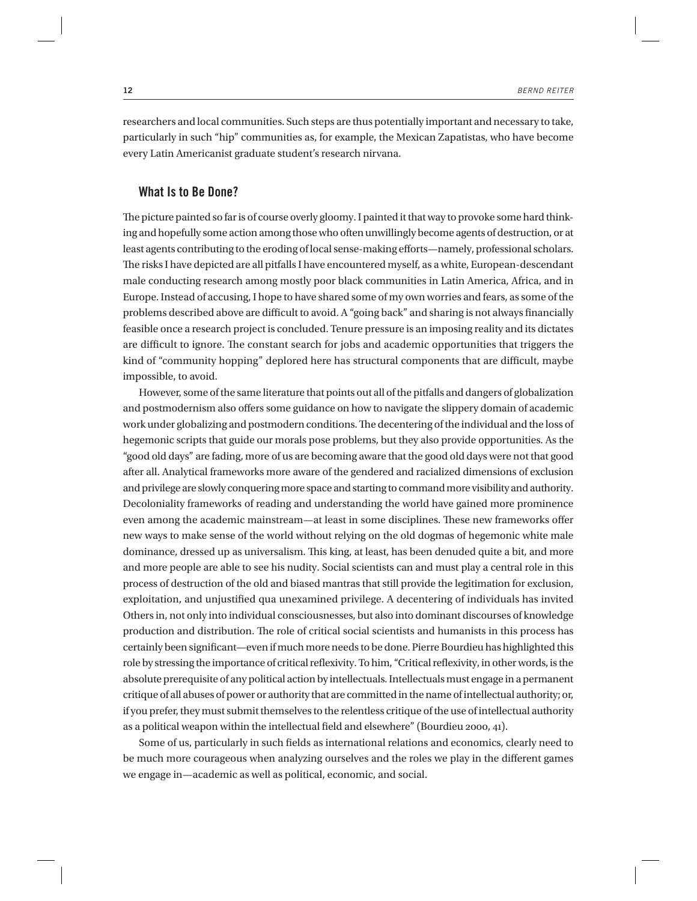researchers and local communities. Such steps are thus potentially important and necessary to take, particularly in such "hip" communities as, for example, the Mexican Zapatistas, who have become every Latin Americanist graduate student's research nirvana.

#### What Is to Be Done?

The picture painted so far is of course overly gloomy. I painted it that way to provoke some hard thinking and hopefully some action among those who often unwillingly become agents of destruction, or at least agents contributing to the eroding of local sense-making efforts—namely, professional scholars. The risks I have depicted are all pitfalls I have encountered myself, as a white, European-descendant male conducting research among mostly poor black communities in Latin America, Africa, and in Europe. Instead of accusing, I hope to have shared some of my own worries and fears, as some of the problems described above are difficult to avoid. A "going back" and sharing is not always financially feasible once a research project is concluded. Tenure pressure is an imposing reality and its dictates are difficult to ignore. The constant search for jobs and academic opportunities that triggers the kind of "community hopping" deplored here has structural components that are difficult, maybe impossible, to avoid.

However, some of the same literature that points out all of the pitfalls and dangers of globalization and postmodernism also offers some guidance on how to navigate the slippery domain of academic work under globalizing and postmodern conditions. The decentering of the individual and the loss of hegemonic scripts that guide our morals pose problems, but they also provide opportunities. As the "good old days" are fading, more of us are becoming aware that the good old days were not that good after all. Analytical frameworks more aware of the gendered and racialized dimensions of exclusion and privilege are slowly conquering more space and starting to command more visibility and authority. Decoloniality frameworks of reading and understanding the world have gained more prominence even among the academic mainstream—at least in some disciplines. These new frameworks offer new ways to make sense of the world without relying on the old dogmas of hegemonic white male dominance, dressed up as universalism. This king, at least, has been denuded quite a bit, and more and more people are able to see his nudity. Social scientists can and must play a central role in this process of destruction of the old and biased mantras that still provide the legitimation for exclusion, exploitation, and unjustified qua unexamined privilege. A decentering of individuals has invited Others in, not only into individual consciousnesses, but also into dominant discourses of knowledge production and distribution. The role of critical social scientists and humanists in this process has certainly been significant—even if much more needs to be done. Pierre Bourdieu has highlighted this role by stressing the importance of critical reflexivity. To him, "Critical reflexivity, in other words, is the absolute prerequisite of any political action by intellectuals. Intellectuals must engage in a permanent critique of all abuses of power or authority that are committed in the name of intellectual authority; or, if you prefer, they must submit themselves to the relentless critique of the use of intellectual authority as a political weapon within the intellectual field and elsewhere" (Bourdieu 2000, 41).

Some of us, particularly in such fields as international relations and economics, clearly need to be much more courageous when analyzing ourselves and the roles we play in the different games we engage in—academic as well as political, economic, and social.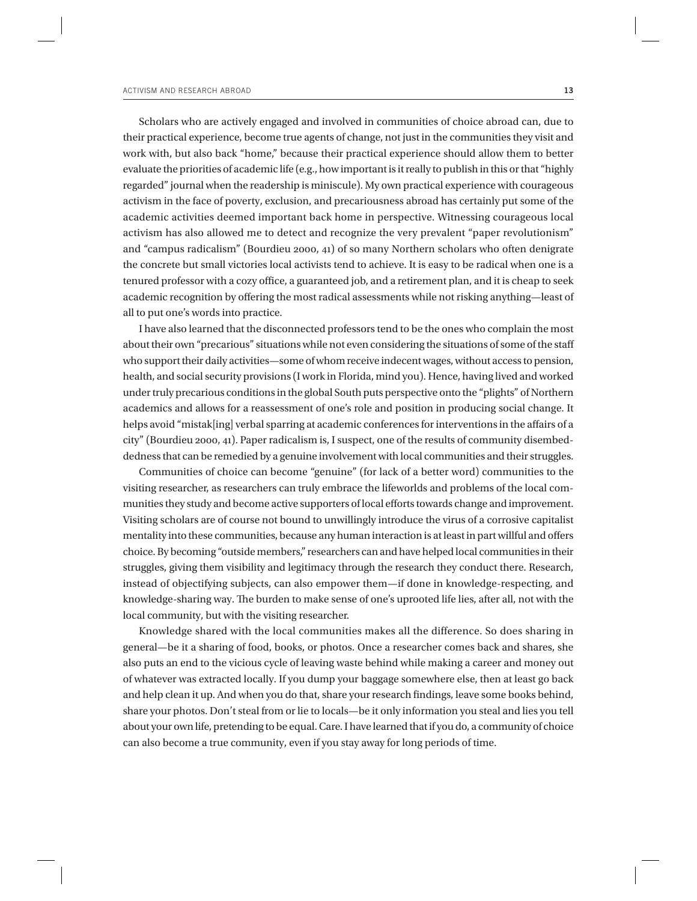Scholars who are actively engaged and involved in communities of choice abroad can, due to their practical experience, become true agents of change, not just in the communities they visit and work with, but also back "home," because their practical experience should allow them to better evaluate the priorities of academic life (e.g., how important is it really to publish in this or that "highly regarded" journal when the readership is miniscule). My own practical experience with courageous activism in the face of poverty, exclusion, and precariousness abroad has certainly put some of the academic activities deemed important back home in perspective. Witnessing courageous local activism has also allowed me to detect and recognize the very prevalent "paper revolutionism" and "campus radicalism" (Bourdieu 2000, 41) of so many Northern scholars who often denigrate the concrete but small victories local activists tend to achieve. It is easy to be radical when one is a tenured professor with a cozy office, a guaranteed job, and a retirement plan, and it is cheap to seek academic recognition by offering the most radical assessments while not risking anything—least of all to put one's words into practice.

I have also learned that the disconnected professors tend to be the ones who complain the most about their own "precarious" situations while not even considering the situations of some of the staff who support their daily activities—some of whom receive indecent wages, without access to pension, health, and social security provisions (I work in Florida, mind you). Hence, having lived and worked under truly precarious conditions in the global South puts perspective onto the "plights" of Northern academics and allows for a reassessment of one's role and position in producing social change. It helps avoid "mistak[ing] verbal sparring at academic conferences for interventions in the affairs of a city" (Bourdieu 2000, 41). Paper radicalism is, I suspect, one of the results of community disembeddedness that can be remedied by a genuine involvement with local communities and their struggles.

Communities of choice can become "genuine" (for lack of a better word) communities to the visiting researcher, as researchers can truly embrace the lifeworlds and problems of the local communities they study and become active supporters of local efforts towards change and improvement. Visiting scholars are of course not bound to unwillingly introduce the virus of a corrosive capitalist mentality into these communities, because any human interaction is at least in part willful and offers choice. By becoming "outside members," researchers can and have helped local communities in their struggles, giving them visibility and legitimacy through the research they conduct there. Research, instead of objectifying subjects, can also empower them—if done in knowledge-respecting, and knowledge-sharing way. The burden to make sense of one's uprooted life lies, after all, not with the local community, but with the visiting researcher.

Knowledge shared with the local communities makes all the difference. So does sharing in general—be it a sharing of food, books, or photos. Once a researcher comes back and shares, she also puts an end to the vicious cycle of leaving waste behind while making a career and money out of whatever was extracted locally. If you dump your baggage somewhere else, then at least go back and help clean it up. And when you do that, share your research findings, leave some books behind, share your photos. Don't steal from or lie to locals—be it only information you steal and lies you tell about your own life, pretending to be equal. Care. I have learned that if you do, a community of choice can also become a true community, even if you stay away for long periods of time.